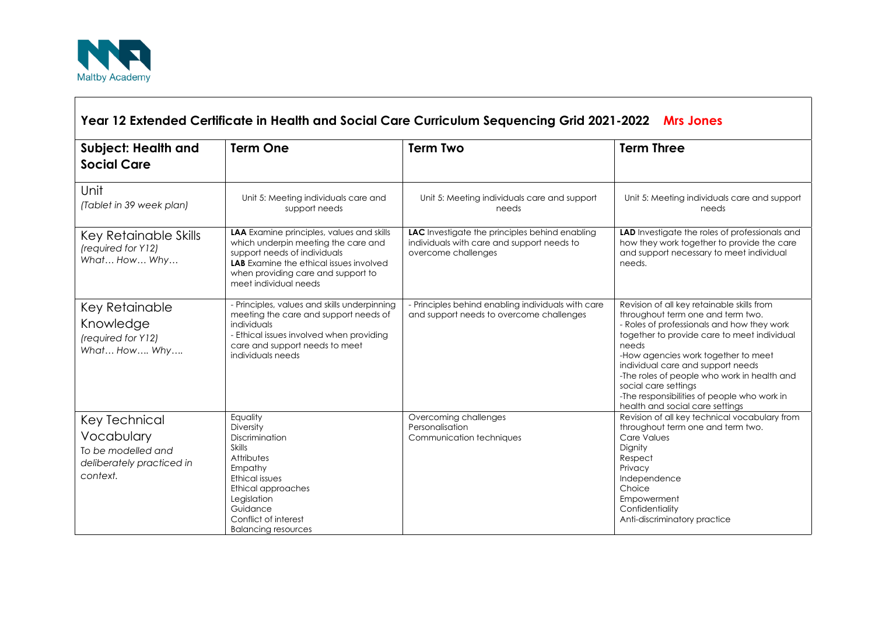

| <b>Subject: Health and</b>                                                                 | <b>Term One</b>                                                                                                                                                                                                                   | <b>Term Two</b>                                                                                                     | <b>Term Three</b>                                                                                                                                                                                                                                                                                                                                                                                                          |
|--------------------------------------------------------------------------------------------|-----------------------------------------------------------------------------------------------------------------------------------------------------------------------------------------------------------------------------------|---------------------------------------------------------------------------------------------------------------------|----------------------------------------------------------------------------------------------------------------------------------------------------------------------------------------------------------------------------------------------------------------------------------------------------------------------------------------------------------------------------------------------------------------------------|
| <b>Social Care</b>                                                                         |                                                                                                                                                                                                                                   |                                                                                                                     |                                                                                                                                                                                                                                                                                                                                                                                                                            |
| Unit<br>(Tablet in 39 week plan)                                                           | Unit 5: Meeting individuals care and<br>support needs                                                                                                                                                                             | Unit 5: Meeting individuals care and support<br>needs                                                               | Unit 5: Meeting individuals care and support<br>needs                                                                                                                                                                                                                                                                                                                                                                      |
| Key Retainable Skills<br>(required for Y12)<br>What How Why                                | LAA Examine principles, values and skills<br>which underpin meeting the care and<br>support needs of individuals<br><b>LAB</b> Examine the ethical issues involved<br>when providing care and support to<br>meet individual needs | LAC Investigate the principles behind enabling<br>individuals with care and support needs to<br>overcome challenges | LAD Investigate the roles of professionals and<br>how they work together to provide the care<br>and support necessary to meet individual<br>needs.                                                                                                                                                                                                                                                                         |
| Key Retainable<br>Knowledge<br>(required for Y12)<br>What How Why                          | - Principles, values and skills underpinning<br>meeting the care and support needs of<br>individuals<br>- Ethical issues involved when providing<br>care and support needs to meet<br>individuals needs                           | - Principles behind enabling individuals with care<br>and support needs to overcome challenges                      | Revision of all key retainable skills from<br>throughout term one and term two.<br>- Roles of professionals and how they work<br>together to provide care to meet individual<br>needs<br>-How agencies work together to meet<br>individual care and support needs<br>-The roles of people who work in health and<br>social care settings<br>-The responsibilities of people who work in<br>health and social care settings |
| Key Technical<br>Vocabulary<br>To be modelled and<br>deliberately practiced in<br>context. | Equality<br>Diversity<br>Discrimination<br><b>Skills</b><br>Attributes<br>Empathy<br><b>Ethical issues</b><br>Ethical approaches<br>Legislation<br>Guidance<br>Conflict of interest<br><b>Balancing resources</b>                 | Overcoming challenges<br>Personalisation<br>Communication techniques                                                | Revision of all key technical vocabulary from<br>throughout term one and term two.<br>Care Values<br>Dignity<br>Respect<br>Privacy<br>Independence<br>Choice<br>Empowerment<br>Confidentiality<br>Anti-discriminatory practice                                                                                                                                                                                             |